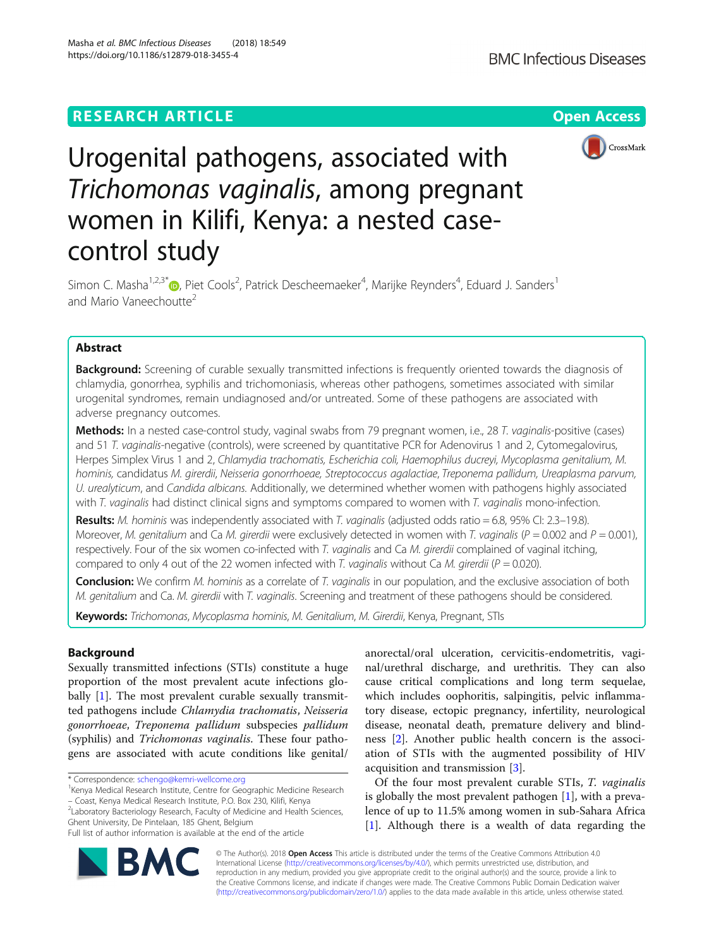https://doi.org/10.1186/s12879-018-3455-4

Masha et al. BMC Infectious Diseases (2018) 18:549



# Urogenital pathogens, associated with Trichomonas vaginalis, among pregnant women in Kilifi, Kenya: a nested casecontrol study

Simon C. Masha<sup>1[,](http://orcid.org/0000-0002-6283-2430)2,3\*</sup>®, Piet Cools<sup>2</sup>, Patrick Descheemaeker<sup>4</sup>, Marijke Reynders<sup>4</sup>, Eduard J. Sanders<sup>1</sup> and Mario Vaneechoutte<sup>2</sup>

# Abstract

**Background:** Screening of curable sexually transmitted infections is frequently oriented towards the diagnosis of chlamydia, gonorrhea, syphilis and trichomoniasis, whereas other pathogens, sometimes associated with similar urogenital syndromes, remain undiagnosed and/or untreated. Some of these pathogens are associated with adverse pregnancy outcomes.

Methods: In a nested case-control study, vaginal swabs from 79 pregnant women, i.e., 28 T. vaginalis-positive (cases) and 51 T. vaginalis-negative (controls), were screened by quantitative PCR for Adenovirus 1 and 2, Cytomegalovirus, Herpes Simplex Virus 1 and 2, Chlamydia trachomatis, Escherichia coli, Haemophilus ducreyi, Mycoplasma genitalium, M. hominis, candidatus M. girerdii, Neisseria gonorrhoeae, Streptococcus agalactiae, Treponema pallidum, Ureaplasma parvum, U. urealyticum, and Candida albicans. Additionally, we determined whether women with pathogens highly associated with T. vaginalis had distinct clinical signs and symptoms compared to women with T. vaginalis mono-infection.

Results: M. hominis was independently associated with T. vaginalis (adjusted odds ratio = 6.8, 95% CI: 2.3–19.8). Moreover, M. genitalium and Ca M. girerdii were exclusively detected in women with T. vaginalis ( $P = 0.002$  and  $P = 0.001$ ), respectively. Four of the six women co-infected with T. vaginalis and Ca M. girerdii complained of vaginal itching, compared to only 4 out of the 22 women infected with T. vaginalis without Ca M. girerdii ( $P = 0.020$ ).

Conclusion: We confirm M. hominis as a correlate of T. vaginalis in our population, and the exclusive association of both M. genitalium and Ca. M. girerdii with T. vaginalis. Screening and treatment of these pathogens should be considered.

Keywords: Trichomonas, Mycoplasma hominis, M. Genitalium, M. Girerdii, Kenya, Pregnant, STIs

## Background

Sexually transmitted infections (STIs) constitute a huge proportion of the most prevalent acute infections glo-bally [[1\]](#page-6-0). The most prevalent curable sexually transmitted pathogens include Chlamydia trachomatis, Neisseria gonorrhoeae, Treponema pallidum subspecies pallidum (syphilis) and Trichomonas vaginalis. These four pathogens are associated with acute conditions like genital/

\* Correspondence: [schengo@kemri-wellcome.org](mailto:schengo@kemri-wellcome.org) <sup>1</sup>

anorectal/oral ulceration, cervicitis-endometritis, vaginal/urethral discharge, and urethritis. They can also cause critical complications and long term sequelae, which includes oophoritis, salpingitis, pelvic inflammatory disease, ectopic pregnancy, infertility, neurological disease, neonatal death, premature delivery and blindness [\[2](#page-6-0)]. Another public health concern is the association of STIs with the augmented possibility of HIV acquisition and transmission [\[3\]](#page-6-0).

Of the four most prevalent curable STIs, T. vaginalis is globally the most prevalent pathogen [[1\]](#page-6-0), with a prevalence of up to 11.5% among women in sub-Sahara Africa [[1\]](#page-6-0). Although there is a wealth of data regarding the



© The Author(s). 2018 Open Access This article is distributed under the terms of the Creative Commons Attribution 4.0 International License [\(http://creativecommons.org/licenses/by/4.0/](http://creativecommons.org/licenses/by/4.0/)), which permits unrestricted use, distribution, and reproduction in any medium, provided you give appropriate credit to the original author(s) and the source, provide a link to the Creative Commons license, and indicate if changes were made. The Creative Commons Public Domain Dedication waiver [\(http://creativecommons.org/publicdomain/zero/1.0/](http://creativecommons.org/publicdomain/zero/1.0/)) applies to the data made available in this article, unless otherwise stated.

<sup>&</sup>lt;sup>1</sup> Kenya Medical Research Institute, Centre for Geographic Medicine Research – Coast, Kenya Medical Research Institute, P.O. Box 230, Kilifi, Kenya <sup>2</sup>

<sup>&</sup>lt;sup>2</sup>Laboratory Bacteriology Research, Faculty of Medicine and Health Sciences, Ghent University, De Pintelaan, 185 Ghent, Belgium

Full list of author information is available at the end of the article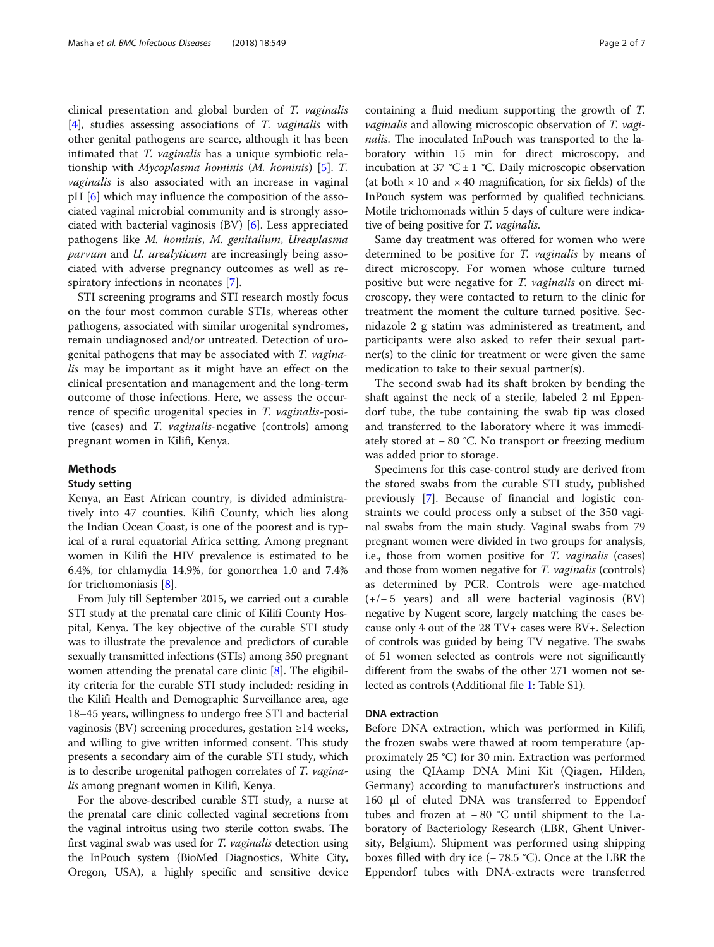clinical presentation and global burden of T. vaginalis [[4\]](#page-6-0), studies assessing associations of T. vaginalis with other genital pathogens are scarce, although it has been intimated that *T. vaginalis* has a unique symbiotic relationship with Mycoplasma hominis (M. hominis) [[5\]](#page-6-0). T. vaginalis is also associated with an increase in vaginal pH [[6](#page-6-0)] which may influence the composition of the associated vaginal microbial community and is strongly associated with bacterial vaginosis (BV) [\[6](#page-6-0)]. Less appreciated pathogens like M. hominis, M. genitalium, Ureaplasma parvum and *U. urealyticum* are increasingly being associated with adverse pregnancy outcomes as well as respiratory infections in neonates [\[7](#page-6-0)].

STI screening programs and STI research mostly focus on the four most common curable STIs, whereas other pathogens, associated with similar urogenital syndromes, remain undiagnosed and/or untreated. Detection of urogenital pathogens that may be associated with T. vaginalis may be important as it might have an effect on the clinical presentation and management and the long-term outcome of those infections. Here, we assess the occurrence of specific urogenital species in T. vaginalis-positive (cases) and T. vaginalis-negative (controls) among pregnant women in Kilifi, Kenya.

## Methods

## Study setting

Kenya, an East African country, is divided administratively into 47 counties. Kilifi County, which lies along the Indian Ocean Coast, is one of the poorest and is typical of a rural equatorial Africa setting. Among pregnant women in Kilifi the HIV prevalence is estimated to be 6.4%, for chlamydia 14.9%, for gonorrhea 1.0 and 7.4% for trichomoniasis [[8](#page-6-0)].

From July till September 2015, we carried out a curable STI study at the prenatal care clinic of Kilifi County Hospital, Kenya. The key objective of the curable STI study was to illustrate the prevalence and predictors of curable sexually transmitted infections (STIs) among 350 pregnant women attending the prenatal care clinic [[8](#page-6-0)]. The eligibility criteria for the curable STI study included: residing in the Kilifi Health and Demographic Surveillance area, age 18–45 years, willingness to undergo free STI and bacterial vaginosis (BV) screening procedures, gestation ≥14 weeks, and willing to give written informed consent. This study presents a secondary aim of the curable STI study, which is to describe urogenital pathogen correlates of T. vaginalis among pregnant women in Kilifi, Kenya.

For the above-described curable STI study, a nurse at the prenatal care clinic collected vaginal secretions from the vaginal introitus using two sterile cotton swabs. The first vaginal swab was used for *T. vaginalis* detection using the InPouch system (BioMed Diagnostics, White City, Oregon, USA), a highly specific and sensitive device containing a fluid medium supporting the growth of T. vaginalis and allowing microscopic observation of T. vaginalis. The inoculated InPouch was transported to the laboratory within 15 min for direct microscopy, and incubation at 37 °C  $\pm$  1 °C. Daily microscopic observation (at both  $\times$  10 and  $\times$  40 magnification, for six fields) of the InPouch system was performed by qualified technicians. Motile trichomonads within 5 days of culture were indicative of being positive for T. vaginalis.

Same day treatment was offered for women who were determined to be positive for T. vaginalis by means of direct microscopy. For women whose culture turned positive but were negative for T. vaginalis on direct microscopy, they were contacted to return to the clinic for treatment the moment the culture turned positive. Secnidazole 2 g statim was administered as treatment, and participants were also asked to refer their sexual partner(s) to the clinic for treatment or were given the same medication to take to their sexual partner(s).

The second swab had its shaft broken by bending the shaft against the neck of a sterile, labeled 2 ml Eppendorf tube, the tube containing the swab tip was closed and transferred to the laboratory where it was immediately stored at − 80 °C. No transport or freezing medium was added prior to storage.

Specimens for this case-control study are derived from the stored swabs from the curable STI study, published previously [\[7](#page-6-0)]. Because of financial and logistic constraints we could process only a subset of the 350 vaginal swabs from the main study. Vaginal swabs from 79 pregnant women were divided in two groups for analysis, i.e., those from women positive for T. vaginalis (cases) and those from women negative for *T. vaginalis* (controls) as determined by PCR. Controls were age-matched (+/− 5 years) and all were bacterial vaginosis (BV) negative by Nugent score, largely matching the cases because only 4 out of the 28 TV+ cases were BV+. Selection of controls was guided by being TV negative. The swabs of 51 women selected as controls were not significantly different from the swabs of the other 271 women not selected as controls (Additional file [1](#page-5-0): Table S1).

## DNA extraction

Before DNA extraction, which was performed in Kilifi, the frozen swabs were thawed at room temperature (approximately 25 °C) for 30 min. Extraction was performed using the QIAamp DNA Mini Kit (Qiagen, Hilden, Germany) according to manufacturer's instructions and 160 μl of eluted DNA was transferred to Eppendorf tubes and frozen at − 80 °C until shipment to the Laboratory of Bacteriology Research (LBR, Ghent University, Belgium). Shipment was performed using shipping boxes filled with dry ice (− 78.5 °C). Once at the LBR the Eppendorf tubes with DNA-extracts were transferred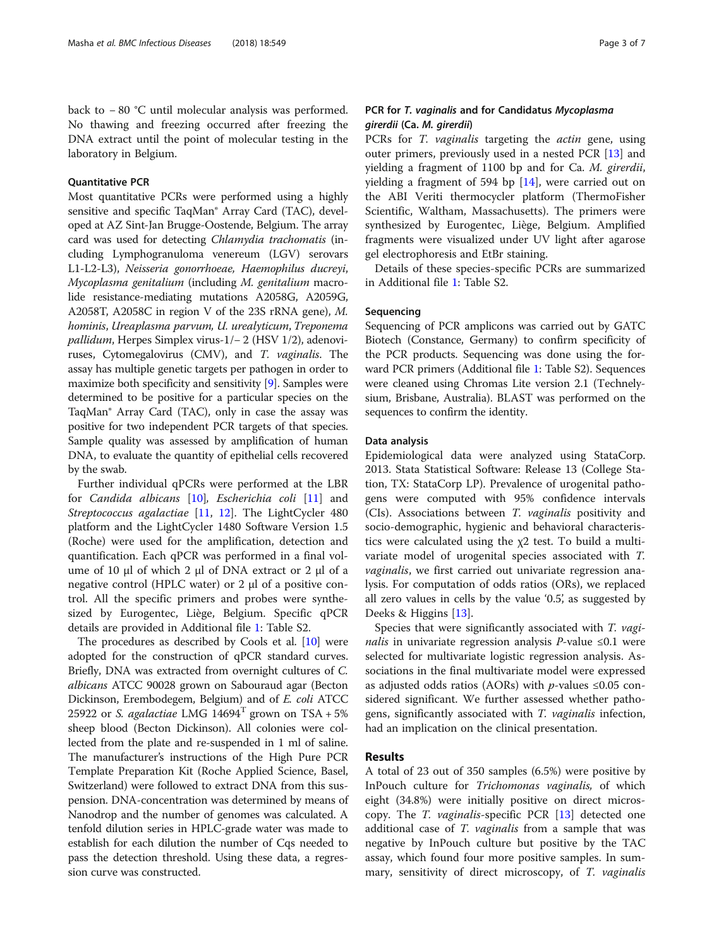back to − 80 °C until molecular analysis was performed. No thawing and freezing occurred after freezing the DNA extract until the point of molecular testing in the laboratory in Belgium.

## Quantitative PCR

Most quantitative PCRs were performed using a highly sensitive and specific TaqMan® Array Card (TAC), developed at AZ Sint-Jan Brugge-Oostende, Belgium. The array card was used for detecting Chlamydia trachomatis (including Lymphogranuloma venereum (LGV) serovars L1-L2-L3), Neisseria gonorrhoeae, Haemophilus ducreyi, Mycoplasma genitalium (including M. genitalium macrolide resistance-mediating mutations A2058G, A2059G, A2058T, A2058C in region V of the 23S rRNA gene), M. hominis, Ureaplasma parvum, U. urealyticum, Treponema pallidum, Herpes Simplex virus-1/− 2 (HSV 1/2), adenoviruses, Cytomegalovirus (CMV), and T. vaginalis. The assay has multiple genetic targets per pathogen in order to maximize both specificity and sensitivity [\[9](#page-6-0)]. Samples were determined to be positive for a particular species on the TaqMan® Array Card (TAC), only in case the assay was positive for two independent PCR targets of that species. Sample quality was assessed by amplification of human DNA, to evaluate the quantity of epithelial cells recovered by the swab.

Further individual qPCRs were performed at the LBR for Candida albicans [[10](#page-6-0)], Escherichia coli [\[11](#page-6-0)] and Streptococcus agalactiae [[11](#page-6-0), [12](#page-6-0)]. The LightCycler 480 platform and the LightCycler 1480 Software Version 1.5 (Roche) were used for the amplification, detection and quantification. Each qPCR was performed in a final volume of 10 μl of which 2 μl of DNA extract or 2 μl of a negative control (HPLC water) or 2 μl of a positive control. All the specific primers and probes were synthesized by Eurogentec, Liège, Belgium. Specific qPCR details are provided in Additional file [1](#page-5-0): Table S2.

The procedures as described by Cools et al. [[10](#page-6-0)] were adopted for the construction of qPCR standard curves. Briefly, DNA was extracted from overnight cultures of C. albicans ATCC 90028 grown on Sabouraud agar (Becton Dickinson, Erembodegem, Belgium) and of E. coli ATCC 25922 or S. agalactiae LMG  $14694<sup>T</sup>$  grown on TSA + 5% sheep blood (Becton Dickinson). All colonies were collected from the plate and re-suspended in 1 ml of saline. The manufacturer's instructions of the High Pure PCR Template Preparation Kit (Roche Applied Science, Basel, Switzerland) were followed to extract DNA from this suspension. DNA-concentration was determined by means of Nanodrop and the number of genomes was calculated. A tenfold dilution series in HPLC-grade water was made to establish for each dilution the number of Cqs needed to pass the detection threshold. Using these data, a regression curve was constructed.

## PCR for T. vaginalis and for Candidatus Mycoplasma girerdii (Ca. M. girerdii)

PCRs for *T. vaginalis* targeting the *actin* gene, using outer primers, previously used in a nested PCR [\[13](#page-6-0)] and yielding a fragment of 1100 bp and for Ca. M. girerdii, yielding a fragment of 594 bp [[14](#page-6-0)], were carried out on the ABI Veriti thermocycler platform (ThermoFisher Scientific, Waltham, Massachusetts). The primers were synthesized by Eurogentec, Liège, Belgium. Amplified fragments were visualized under UV light after agarose gel electrophoresis and EtBr staining.

Details of these species-specific PCRs are summarized in Additional file [1:](#page-5-0) Table S2.

## Sequencing

Sequencing of PCR amplicons was carried out by GATC Biotech (Constance, Germany) to confirm specificity of the PCR products. Sequencing was done using the forward PCR primers (Additional file [1:](#page-5-0) Table S2). Sequences were cleaned using Chromas Lite version 2.1 (Technelysium, Brisbane, Australia). BLAST was performed on the sequences to confirm the identity.

#### Data analysis

Epidemiological data were analyzed using StataCorp. 2013. Stata Statistical Software: Release 13 (College Station, TX: StataCorp LP). Prevalence of urogenital pathogens were computed with 95% confidence intervals (CIs). Associations between T. vaginalis positivity and socio-demographic, hygienic and behavioral characteristics were calculated using the χ2 test. To build a multivariate model of urogenital species associated with T. *vaginalis*, we first carried out univariate regression analysis. For computation of odds ratios (ORs), we replaced all zero values in cells by the value '0.5', as suggested by Deeks & Higgins [[13\]](#page-6-0).

Species that were significantly associated with T. vagi*nalis* in univariate regression analysis *P*-value  $\leq 0.1$  were selected for multivariate logistic regression analysis. Associations in the final multivariate model were expressed as adjusted odds ratios (AORs) with *p*-values  $\leq 0.05$  considered significant. We further assessed whether pathogens, significantly associated with T. vaginalis infection, had an implication on the clinical presentation.

## Results

A total of 23 out of 350 samples (6.5%) were positive by InPouch culture for Trichomonas vaginalis, of which eight (34.8%) were initially positive on direct microscopy. The T. vaginalis-specific PCR [\[13](#page-6-0)] detected one additional case of T. *vaginalis* from a sample that was negative by InPouch culture but positive by the TAC assay, which found four more positive samples. In summary, sensitivity of direct microscopy, of T. vaginalis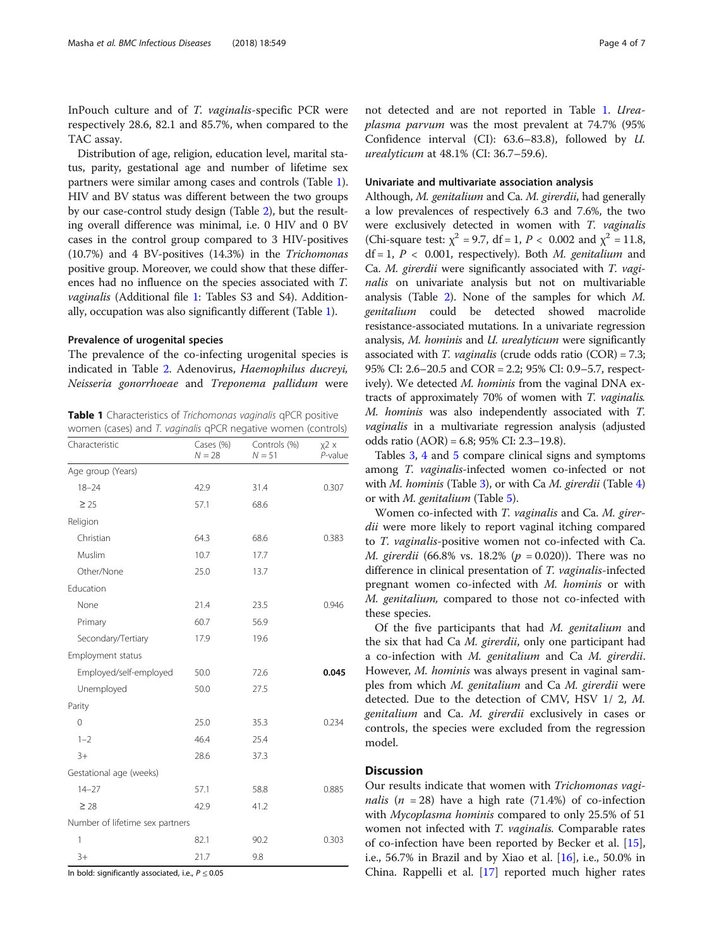InPouch culture and of T. vaginalis-specific PCR were respectively 28.6, 82.1 and 85.7%, when compared to the TAC assay.

Distribution of age, religion, education level, marital status, parity, gestational age and number of lifetime sex partners were similar among cases and controls (Table 1). HIV and BV status was different between the two groups by our case-control study design (Table [2](#page-4-0)), but the resulting overall difference was minimal, i.e. 0 HIV and 0 BV cases in the control group compared to 3 HIV-positives (10.7%) and 4 BV-positives (14.3%) in the Trichomonas positive group. Moreover, we could show that these differences had no influence on the species associated with T. vaginalis (Additional file [1:](#page-5-0) Tables S3 and S4). Additionally, occupation was also significantly different (Table 1).

## Prevalence of urogenital species

The prevalence of the co-infecting urogenital species is indicated in Table [2](#page-4-0). Adenovirus, Haemophilus ducreyi, Neisseria gonorrhoeae and Treponema pallidum were

Table 1 Characteristics of Trichomonas vaginalis qPCR positive women (cases) and T. vaginalis qPCR negative women (controls)

| Characteristic                  | Cases (%)<br>$N = 28$ | Controls (%)<br>$N = 51$ | $x^2$ x<br>$P$ -value |
|---------------------------------|-----------------------|--------------------------|-----------------------|
| Age group (Years)               |                       |                          |                       |
| $18 - 24$                       | 42.9                  | 31.4                     | 0.307                 |
| $\geq 25$                       | 57.1                  | 68.6                     |                       |
| Religion                        |                       |                          |                       |
| Christian                       | 64.3                  | 68.6                     | 0.383                 |
| Muslim                          | 10.7                  | 17.7                     |                       |
| Other/None                      | 25.0                  | 13.7                     |                       |
| Education                       |                       |                          |                       |
| None                            | 21.4                  | 23.5                     | 0.946                 |
| Primary                         | 60.7                  | 56.9                     |                       |
| Secondary/Tertiary              | 17.9                  | 19.6                     |                       |
| Employment status               |                       |                          |                       |
| Employed/self-employed          | 50.0                  | 72.6                     | 0.045                 |
| Unemployed                      | 50.0                  | 27.5                     |                       |
| Parity                          |                       |                          |                       |
| $\mathbf 0$                     | 25.0                  | 35.3                     | 0.234                 |
| $1 - 2$                         | 46.4                  | 25.4                     |                       |
| $3+$                            | 28.6                  | 37.3                     |                       |
| Gestational age (weeks)         |                       |                          |                       |
| $14 - 27$                       | 57.1                  | 58.8                     | 0.885                 |
| $\geq 28$                       | 42.9                  | 41.2                     |                       |
| Number of lifetime sex partners |                       |                          |                       |
| 1                               | 82.1                  | 90.2                     | 0.303                 |
| $3+$                            | 21.7                  | 9.8                      |                       |

In bold: significantly associated, i.e.,  $P \le 0.05$ 

not detected and are not reported in Table 1. Ureaplasma parvum was the most prevalent at 74.7% (95% Confidence interval (CI): 63.6–83.8), followed by U. urealyticum at 48.1% (CI: 36.7–59.6).

## Univariate and multivariate association analysis

Although, M. genitalium and Ca. M. girerdii, had generally a low prevalences of respectively 6.3 and 7.6%, the two were exclusively detected in women with T. vaginalis (Chi-square test:  $\chi^2$  = 9.7, df = 1, P < 0.002 and  $\chi^2$  = 11.8,  $df = 1$ ,  $P < 0.001$ , respectively). Both *M. genitalium* and Ca. M. girerdii were significantly associated with T. vaginalis on univariate analysis but not on multivariable analysis (Table [2](#page-4-0)). None of the samples for which M. genitalium could be detected showed macrolide resistance-associated mutations. In a univariate regression analysis, M. hominis and U. urealyticum were significantly associated with  $T$ . *vaginalis* (crude odds ratio  $(COR) = 7.3$ ; 95% CI: 2.6–20.5 and COR = 2.2; 95% CI: 0.9–5.7, respectively). We detected M. hominis from the vaginal DNA extracts of approximately 70% of women with T. vaginalis. M. hominis was also independently associated with T. vaginalis in a multivariate regression analysis (adjusted odds ratio (AOR) = 6.8; 95% CI: 2.3–19.8).

Tables [3](#page-4-0), [4](#page-4-0) and [5](#page-5-0) compare clinical signs and symptoms among T. vaginalis-infected women co-infected or not with *M. hominis* (Table [3](#page-4-0)), or with Ca *M. girerdii* (Table [4](#page-4-0)) or with M. genitalium (Table [5](#page-5-0)).

Women co-infected with T. vaginalis and Ca. M. girerdii were more likely to report vaginal itching compared to T. vaginalis-positive women not co-infected with Ca. *M. girerdii* (66.8% vs. 18.2% ( $p = 0.020$ )). There was no difference in clinical presentation of T. vaginalis-infected pregnant women co-infected with M. hominis or with M. genitalium, compared to those not co-infected with these species.

Of the five participants that had M. genitalium and the six that had Ca M. girerdii, only one participant had a co-infection with M. genitalium and Ca M. girerdii. However, M. hominis was always present in vaginal samples from which M. genitalium and Ca M. girerdii were detected. Due to the detection of CMV, HSV 1/ 2, M. genitalium and Ca. M. girerdii exclusively in cases or controls, the species were excluded from the regression model.

## **Discussion**

Our results indicate that women with Trichomonas vagi*nalis* ( $n = 28$ ) have a high rate (71.4%) of co-infection with Mycoplasma hominis compared to only 25.5% of 51 women not infected with *T. vaginalis*. Comparable rates of co-infection have been reported by Becker et al. [\[15](#page-6-0)], i.e., 56.7% in Brazil and by Xiao et al. [[16\]](#page-6-0), i.e., 50.0% in China. Rappelli et al. [\[17\]](#page-6-0) reported much higher rates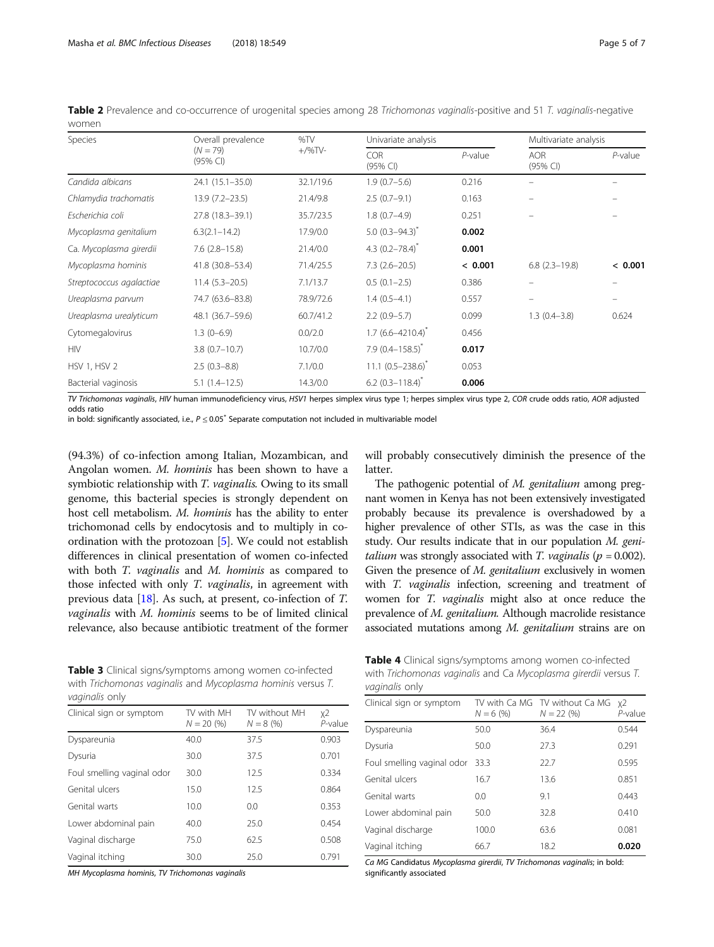| Species                  | Overall prevalence     | %TV       | Univariate analysis            |            |                        | Multivariate analysis |  |
|--------------------------|------------------------|-----------|--------------------------------|------------|------------------------|-----------------------|--|
|                          | $(N = 79)$<br>(95% CI) | $+/$ %TV- | <b>COR</b><br>(95% CI)         | $P$ -value | <b>AOR</b><br>(95% CI) | $P$ -value            |  |
| Candida albicans         | 24.1 (15.1-35.0)       | 32.1/19.6 | $1.9(0.7-5.6)$                 | 0.216      |                        |                       |  |
| Chlamydia trachomatis    | $13.9(7.2 - 23.5)$     | 21.4/9.8  | $2.5(0.7-9.1)$                 | 0.163      |                        |                       |  |
| Escherichia coli         | 27.8 (18.3-39.1)       | 35.7/23.5 | $1.8(0.7-4.9)$                 | 0.251      |                        |                       |  |
| Mycoplasma genitalium    | $6.3(2.1 - 14.2)$      | 17.9/0.0  | 5.0 $(0.3 - 94.3)^{*}$         | 0.002      |                        |                       |  |
| Ca. Mycoplasma girerdii  | $7.6$ $(2.8 - 15.8)$   | 21.4/0.0  | 4.3 $(0.2 - 78.4)^{*}$         | 0.001      |                        |                       |  |
| Mycoplasma hominis       | 41.8 (30.8-53.4)       | 71.4/25.5 | $7.3(2.6-20.5)$                | < 0.001    | $6.8$ $(2.3 - 19.8)$   | < 0.001               |  |
| Streptococcus agalactiae | $11.4(5.3-20.5)$       | 7.1/13.7  | $0.5(0.1-2.5)$                 | 0.386      |                        |                       |  |
| Ureaplasma parvum        | 74.7 (63.6-83.8)       | 78.9/72.6 | $1.4(0.5-4.1)$                 | 0.557      |                        |                       |  |
| Ureaplasma urealyticum   | 48.1 (36.7-59.6)       | 60.7/41.2 | $2.2(0.9-5.7)$                 | 0.099      | $1.3(0.4 - 3.8)$       | 0.624                 |  |
| Cytomegalovirus          | $1.3(0-6.9)$           | 0.0/2.0   | $1.7(6.6 - 4210.4)^{*}$        | 0.456      |                        |                       |  |
| <b>HIV</b>               | $3.8(0.7-10.7)$        | 10.7/0.0  | $7.9$ (0.4-158.5) <sup>*</sup> | 0.017      |                        |                       |  |
| <b>HSV 1, HSV 2</b>      | $2.5(0.3-8.8)$         | 7.1/0.0   | 11.1 $(0.5 - 238.6)^{\dagger}$ | 0.053      |                        |                       |  |
| Bacterial vaginosis      | $5.1(1.4-12.5)$        | 14.3/0.0  | $6.2$ (0.3-118.4) <sup>*</sup> | 0.006      |                        |                       |  |

<span id="page-4-0"></span>Table 2 Prevalence and co-occurrence of urogenital species among 28 Trichomonas vaginalis-positive and 51 T. vaginalis-negative women

TV Trichomonas vaginalis, HIV human immunodeficiency virus, HSV1 herpes simplex virus type 1; herpes simplex virus type 2, COR crude odds ratio, AOR adjusted odds ratio

in bold: significantly associated, i.e.,  $P \le 0.05^*$  Separate computation not included in multivariable model

(94.3%) of co-infection among Italian, Mozambican, and Angolan women. M. hominis has been shown to have a symbiotic relationship with *T. vaginalis*. Owing to its small genome, this bacterial species is strongly dependent on host cell metabolism. M. hominis has the ability to enter trichomonad cells by endocytosis and to multiply in coordination with the protozoan [\[5](#page-6-0)]. We could not establish differences in clinical presentation of women co-infected with both *T. vaginalis* and *M. hominis* as compared to those infected with only T. vaginalis, in agreement with previous data [\[18](#page-6-0)]. As such, at present, co-infection of T. vaginalis with M. hominis seems to be of limited clinical relevance, also because antibiotic treatment of the former

Table 3 Clinical signs/symptoms among women co-infected with Trichomonas vaginalis and Mycoplasma hominis versus T. vaginalis only

| Clinical sign or symptom   | TV with MH<br>$N = 20(96)$ | TV without MH<br>$N = 8 \ (%)$ | χ2<br>P-value |
|----------------------------|----------------------------|--------------------------------|---------------|
| Dyspareunia                | 40.0                       | 37.5                           | 0.903         |
| Dysuria                    | 30.0                       | 37.5                           | 0.701         |
| Foul smelling vaginal odor | 30.0                       | 12.5                           | 0.334         |
| Genital ulcers             | 15.0                       | 12.5                           | 0.864         |
| Genital warts              | 10.0                       | 0.0                            | 0.353         |
| Lower abdominal pain       | 40.0                       | 25.0                           | 0.454         |
| Vaginal discharge          | 75.0                       | 62.5                           | 0.508         |
| Vaginal itching            | 30.0                       | 25.0                           | 0.791         |

MH Mycoplasma hominis, TV Trichomonas vaginalis

will probably consecutively diminish the presence of the latter.

The pathogenic potential of M. genitalium among pregnant women in Kenya has not been extensively investigated probably because its prevalence is overshadowed by a higher prevalence of other STIs, as was the case in this study. Our results indicate that in our population M. geni*talium* was strongly associated with *T. vaginalis* ( $p = 0.002$ ). Given the presence of *M. genitalium* exclusively in women with *T. vaginalis* infection, screening and treatment of women for T. vaginalis might also at once reduce the prevalence of M. genitalium. Although macrolide resistance associated mutations among M. genitalium strains are on

| <b>Table 4</b> Clinical signs/symptoms among women co-infected  |
|-----------------------------------------------------------------|
| with Trichomonas vaginalis and Ca Mycoplasma girerdii versus T. |
| <i>vaginalis</i> only                                           |

| Clinical sign or symptom   | $N = 6 \ (%)$ | TV with Ca MG TV without Ca MG<br>$N = 22(96)$ | x2<br>P-value |
|----------------------------|---------------|------------------------------------------------|---------------|
| Dyspareunia                | 50.0          | 36.4                                           | 0.544         |
| Dysuria                    | 50.0          | 27.3                                           | 0.291         |
| Foul smelling vaginal odor | 33.3          | 22.7                                           | 0.595         |
| Genital ulcers             | 16.7          | 13.6                                           | 0.851         |
| Genital warts              | 0.0           | 9.1                                            | 0.443         |
| Lower abdominal pain       | 50.0          | 32.8                                           | 0.410         |
| Vaginal discharge          | 100.0         | 63.6                                           | 0.081         |
| Vaginal itching            | 66.7          | 18.2                                           | 0.020         |
|                            |               |                                                |               |

Ca MG Candidatus Mycoplasma girerdii, TV Trichomonas vaginalis; in bold: significantly associated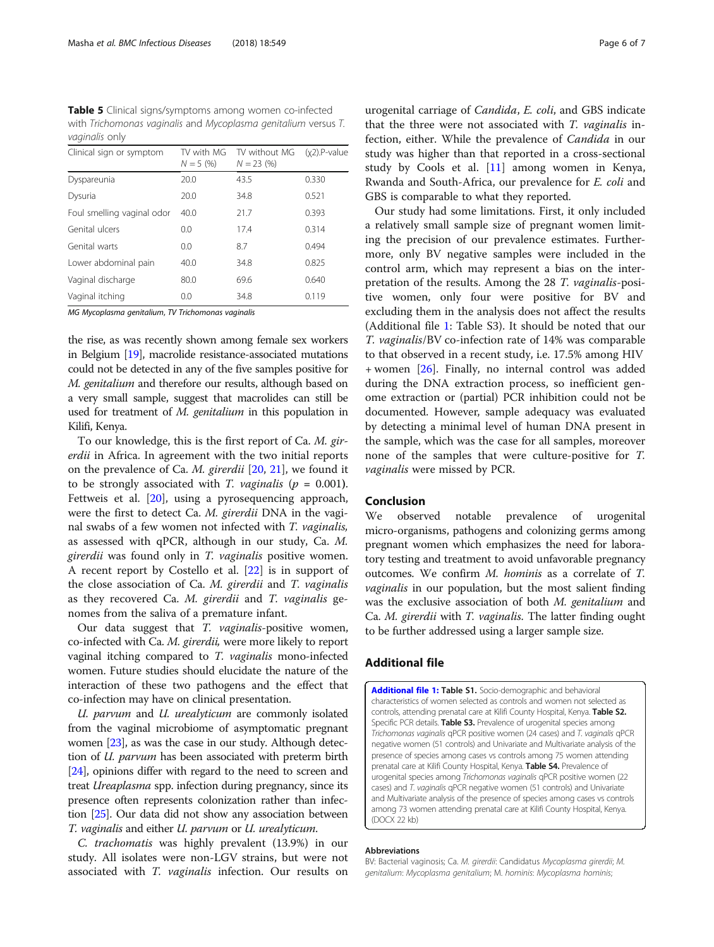<span id="page-5-0"></span>Table 5 Clinical signs/symptoms among women co-infected with Trichomonas vaginalis and Mycoplasma genitalium versus T. vaginalis only

| Clinical sign or symptom   | TV with MG<br>$N = 5(%)$ | TV without MG<br>$N = 23 \ (%)$ | $(x2)$ .P-value |
|----------------------------|--------------------------|---------------------------------|-----------------|
| Dyspareunia                | 20.0                     | 43.5                            | 0.330           |
| Dysuria                    | 20.0                     | 34.8                            | 0.521           |
| Foul smelling vaginal odor | 40.0                     | 21.7                            | 0.393           |
| Genital ulcers             | 0.0                      | 17.4                            | 0.314           |
| Genital warts              | 0.0                      | 8.7                             | 0.494           |
| Lower abdominal pain       | 40.0                     | 34.8                            | 0.825           |
| Vaginal discharge          | 80.0                     | 69.6                            | 0.640           |
| Vaginal itching            | 0.0                      | 34.8                            | 0.119           |
|                            |                          |                                 |                 |

MG Mycoplasma genitalium, TV Trichomonas vaginalis

the rise, as was recently shown among female sex workers in Belgium [\[19\]](#page-6-0), macrolide resistance-associated mutations could not be detected in any of the five samples positive for M. genitalium and therefore our results, although based on a very small sample, suggest that macrolides can still be used for treatment of M. genitalium in this population in Kilifi, Kenya.

To our knowledge, this is the first report of Ca. M. girerdii in Africa. In agreement with the two initial reports on the prevalence of Ca. M. girerdii [\[20,](#page-6-0) [21\]](#page-6-0), we found it to be strongly associated with T. vaginalis ( $p = 0.001$ ). Fettweis et al. [\[20\]](#page-6-0), using a pyrosequencing approach, were the first to detect Ca. M. girerdii DNA in the vaginal swabs of a few women not infected with T. vaginalis, as assessed with qPCR, although in our study, Ca. M. girerdii was found only in T. vaginalis positive women. A recent report by Costello et al. [[22\]](#page-6-0) is in support of the close association of Ca. M. girerdii and T. vaginalis as they recovered Ca. M. girerdii and T. vaginalis genomes from the saliva of a premature infant.

Our data suggest that T. vaginalis-positive women, co-infected with Ca. M. girerdii, were more likely to report vaginal itching compared to T. vaginalis mono-infected women. Future studies should elucidate the nature of the interaction of these two pathogens and the effect that co-infection may have on clinical presentation.

U. parvum and U. urealyticum are commonly isolated from the vaginal microbiome of asymptomatic pregnant women [[23](#page-6-0)], as was the case in our study. Although detection of U. parvum has been associated with preterm birth [[24](#page-6-0)], opinions differ with regard to the need to screen and treat Ureaplasma spp. infection during pregnancy, since its presence often represents colonization rather than infection [[25](#page-6-0)]. Our data did not show any association between T. vaginalis and either U. parvum or U. urealyticum.

C. trachomatis was highly prevalent (13.9%) in our study. All isolates were non-LGV strains, but were not associated with T. vaginalis infection. Our results on

urogenital carriage of Candida, E. coli, and GBS indicate that the three were not associated with T. vaginalis infection, either. While the prevalence of Candida in our study was higher than that reported in a cross-sectional study by Cools et al. [[11\]](#page-6-0) among women in Kenya, Rwanda and South-Africa, our prevalence for E. coli and GBS is comparable to what they reported.

Our study had some limitations. First, it only included a relatively small sample size of pregnant women limiting the precision of our prevalence estimates. Furthermore, only BV negative samples were included in the control arm, which may represent a bias on the interpretation of the results. Among the 28 T. vaginalis-positive women, only four were positive for BV and excluding them in the analysis does not affect the results (Additional file 1: Table S3). It should be noted that our T. vaginalis/BV co-infection rate of 14% was comparable to that observed in a recent study, i.e. 17.5% among HIV + women [[26\]](#page-6-0). Finally, no internal control was added during the DNA extraction process, so inefficient genome extraction or (partial) PCR inhibition could not be documented. However, sample adequacy was evaluated by detecting a minimal level of human DNA present in the sample, which was the case for all samples, moreover none of the samples that were culture-positive for T. vaginalis were missed by PCR.

## Conclusion

We observed notable prevalence of urogenital micro-organisms, pathogens and colonizing germs among pregnant women which emphasizes the need for laboratory testing and treatment to avoid unfavorable pregnancy outcomes. We confirm M. hominis as a correlate of T. vaginalis in our population, but the most salient finding was the exclusive association of both M. genitalium and Ca. M. girerdii with T. vaginalis. The latter finding ought to be further addressed using a larger sample size.

## Additional file

[Additional file 1:](https://doi.org/10.1186/s12879-018-3455-4) Table S1. Socio-demographic and behavioral characteristics of women selected as controls and women not selected as controls, attending prenatal care at Kilifi County Hospital, Kenya. Table S2. Specific PCR details. Table S3. Prevalence of urogenital species among Trichomonas vaginalis qPCR positive women (24 cases) and T. vaginalis qPCR negative women (51 controls) and Univariate and Multivariate analysis of the presence of species among cases vs controls among 75 women attending prenatal care at Kilifi County Hospital, Kenya. Table S4. Prevalence of urogenital species among Trichomonas vaginalis qPCR positive women (22 cases) and T. vaginalis qPCR negative women (51 controls) and Univariate and Multivariate analysis of the presence of species among cases vs controls among 73 women attending prenatal care at Kilifi County Hospital, Kenya. (DOCX 22 kb)

#### Abbreviations

BV: Bacterial vaginosis; Ca. M. girerdii: Candidatus Mycoplasma girerdii; M. genitalium: Mycoplasma genitalium; M. hominis: Mycoplasma hominis;